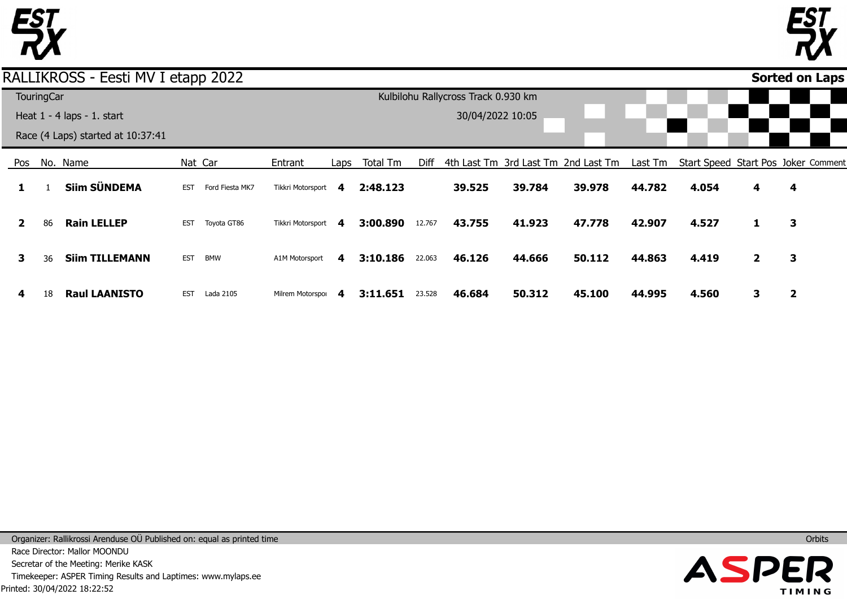



## RALLIKROSS - Eesti MV I etapp 2022

|              |                   |                                   |            |                 |                     |      |          |        |                                     |        |                                     |         |                                     |              |              | . . |
|--------------|-------------------|-----------------------------------|------------|-----------------|---------------------|------|----------|--------|-------------------------------------|--------|-------------------------------------|---------|-------------------------------------|--------------|--------------|-----|
|              | <b>TouringCar</b> |                                   |            |                 |                     |      |          |        | Kulbilohu Rallycross Track 0.930 km |        |                                     |         |                                     |              |              |     |
|              |                   | Heat $1 - 4$ laps $- 1$ . start   |            |                 |                     |      |          |        | 30/04/2022 10:05                    |        |                                     |         |                                     |              |              |     |
|              |                   | Race (4 Laps) started at 10:37:41 |            |                 |                     |      |          |        |                                     |        |                                     |         |                                     |              |              |     |
| Pos          |                   | No. Name                          |            | Nat Car         | Entrant             | Laps | Total Tm | Diff   |                                     |        | 4th Last Tm 3rd Last Tm 2nd Last Tm | Last Tm | Start Speed Start Pos Joker Comment |              |              |     |
|              |                   | Siim SÜNDEMA                      | <b>EST</b> | Ford Fiesta MK7 | Tikkri Motorsport 4 |      | 2:48.123 |        | 39.525                              | 39.784 | 39.978                              | 44.782  | 4.054                               | 4            | 4            |     |
| $\mathbf{2}$ | 86                | <b>Rain LELLEP</b>                | <b>EST</b> | Toyota GT86     | Tikkri Motorsport 4 |      | 3:00.890 | 12.767 | 43.755                              | 41.923 | 47.778                              | 42.907  | 4.527                               | 1            | 3            |     |
| 3            | 36                | <b>Siim TILLEMANN</b>             | <b>EST</b> | <b>BMW</b>      | A1M Motorsport      | 4    | 3:10.186 | 22.063 | 46.126                              | 44.666 | 50.112                              | 44.863  | 4.419                               | $\mathbf{2}$ | 3            |     |
| 4            | 18                | <b>Raul LAANISTO</b>              | <b>EST</b> | Lada 2105       | Milrem Motorspor    | 4    | 3:11.651 | 23.528 | 46.684                              | 50.312 | 45.100                              | 44.995  | 4.560                               | 3            | $\mathbf{2}$ |     |

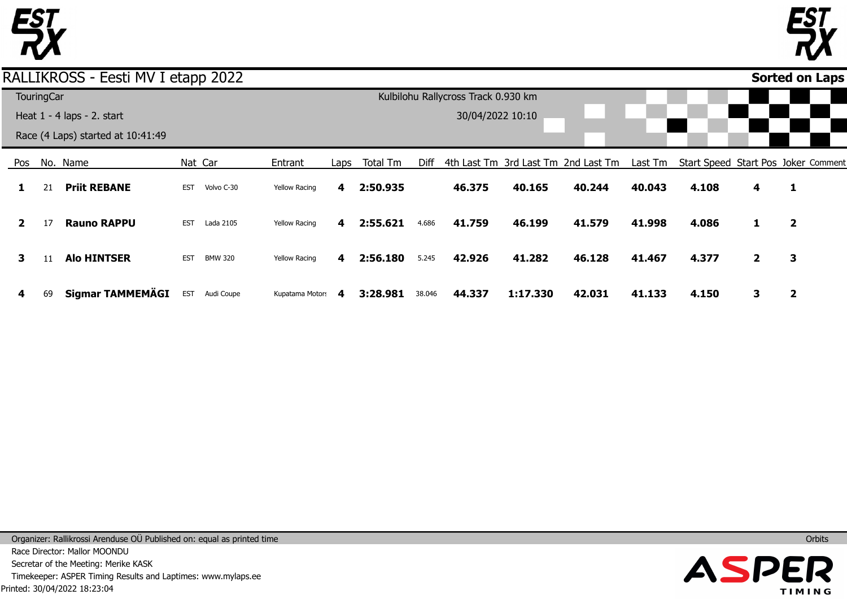



## RALLIKROSS - Eesti MV I etapp 2022

|              |                   |                                   | . .        |                |                      |      |          |        |                                     |          |                                     |         |       |              |                                     |
|--------------|-------------------|-----------------------------------|------------|----------------|----------------------|------|----------|--------|-------------------------------------|----------|-------------------------------------|---------|-------|--------------|-------------------------------------|
|              | <b>TouringCar</b> |                                   |            |                |                      |      |          |        | Kulbilohu Rallycross Track 0.930 km |          |                                     |         |       |              |                                     |
|              |                   | Heat 1 - 4 laps - 2. start        |            |                |                      |      |          |        | 30/04/2022 10:10                    |          |                                     |         |       |              |                                     |
|              |                   | Race (4 Laps) started at 10:41:49 |            |                |                      |      |          |        |                                     |          |                                     |         |       |              |                                     |
| Pos          |                   | No. Name                          |            | Nat Car        | Entrant              | Laps | Total Tm | Diff   |                                     |          | 4th Last Tm 3rd Last Tm 2nd Last Tm | Last Tm |       |              | Start Speed Start Pos Joker Comment |
|              | 21                | <b>Priit REBANE</b>               | <b>EST</b> | Volvo C-30     | <b>Yellow Racing</b> | 4    | 2:50.935 |        | 46.375                              | 40.165   | 40.244                              | 40.043  | 4.108 | 4            | 1                                   |
| $\mathbf{2}$ | 17                | <b>Rauno RAPPU</b>                | <b>EST</b> | Lada 2105      | <b>Yellow Racing</b> | 4    | 2:55.621 | 4.686  | 41.759                              | 46.199   | 41.579                              | 41.998  | 4.086 | 1            | $\mathbf{2}$                        |
| 3            |                   | <b>Alo HINTSER</b>                | <b>EST</b> | <b>BMW 320</b> | <b>Yellow Racing</b> | 4    | 2:56.180 | 5.245  | 42.926                              | 41.282   | 46.128                              | 41.467  | 4.377 | $\mathbf{2}$ | 3                                   |
| 4            | 69                | Sigmar TAMMEMÄGI                  | <b>EST</b> | Audi Coupe     | Kupatama Motors      | 4    | 3:28.981 | 38.046 | 44.337                              | 1:17.330 | 42.031                              | 41.133  | 4.150 | 3            | 2                                   |

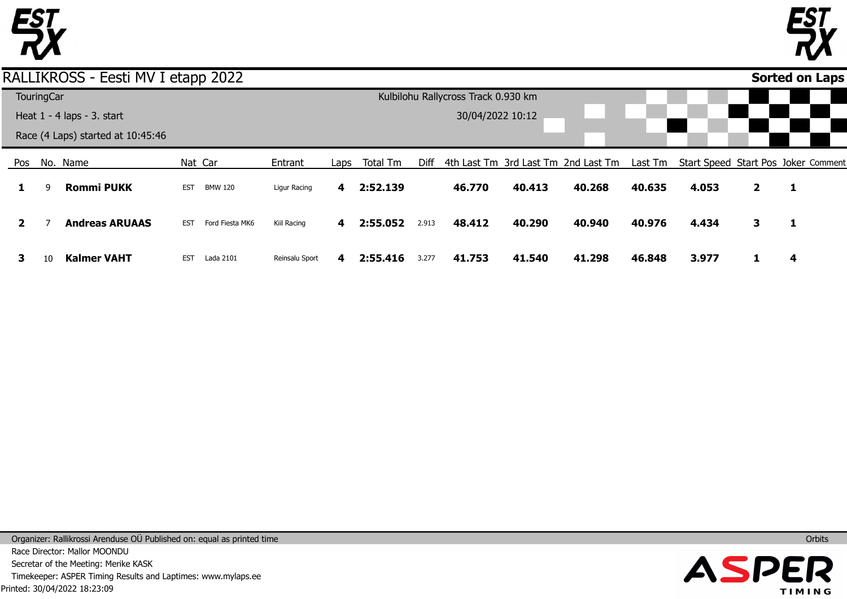



## RALLIKROSS - Eesti MV I etapp 2022

|              |                   |                                   |            |                 |                |      |          |       |                                     |        |                                                                                 |        |       |              | <u>---- -- -- ---</u> |  |
|--------------|-------------------|-----------------------------------|------------|-----------------|----------------|------|----------|-------|-------------------------------------|--------|---------------------------------------------------------------------------------|--------|-------|--------------|-----------------------|--|
|              | <b>TouringCar</b> |                                   |            |                 |                |      |          |       | Kulbilohu Rallycross Track 0.930 km |        |                                                                                 |        |       |              |                       |  |
|              |                   | Heat $1 - 4$ laps $- 3$ . start   |            |                 |                |      |          |       | 30/04/2022 10:12                    |        |                                                                                 |        |       |              |                       |  |
|              |                   | Race (4 Laps) started at 10:45:46 |            |                 |                |      |          |       |                                     |        |                                                                                 |        |       |              |                       |  |
| Pos          |                   | No. Name                          |            | Nat Car         | Entrant        | Laps | Total Tm | Diff  |                                     |        | 4th Last Tm 3rd Last Tm 2nd Last Tm Last Tm Start Speed Start Pos Joker Comment |        |       |              |                       |  |
|              | q                 | <b>Rommi PUKK</b>                 | <b>EST</b> | <b>BMW 120</b>  | Ligur Racing   | 4    | 2:52.139 |       | 46.770                              | 40.413 | 40.268                                                                          | 40.635 | 4.053 | $\mathbf{2}$ | -1                    |  |
| $\mathbf{2}$ |                   | <b>Andreas ARUAAS</b>             | <b>EST</b> | Ford Fiesta MK6 | Kiil Racing    | 4    | 2:55.052 | 2.913 | 48.412                              | 40.290 | 40.940                                                                          | 40.976 | 4.434 | 3            | 1                     |  |
| З.           | 10                | <b>Kalmer VAHT</b>                | <b>EST</b> | Lada 2101       | Reinsalu Sport | 4    | 2:55.416 | 3.277 | 41.753                              | 41.540 | 41.298                                                                          | 46.848 | 3.977 |              |                       |  |

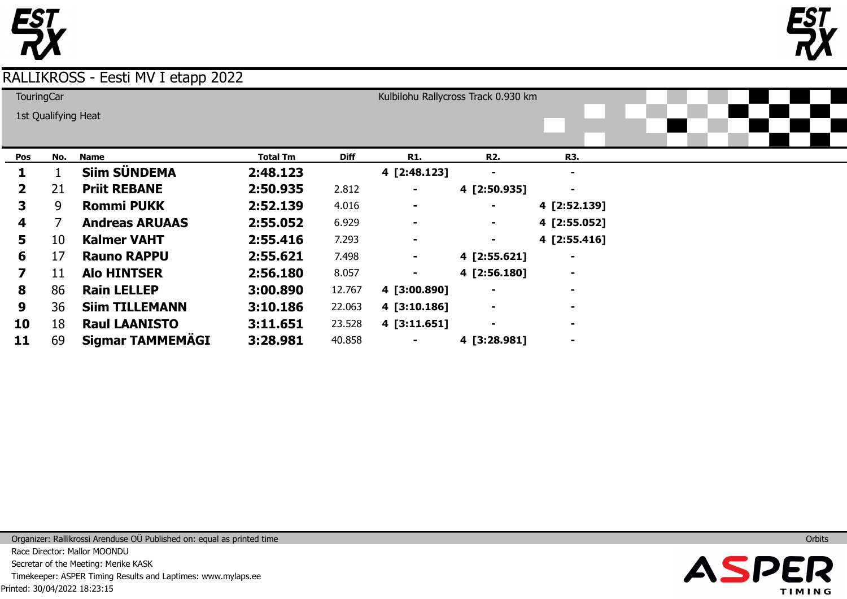



|              | <b>TouringCar</b>   |                         |                 |             |                | Kulbilohu Rallycross Track 0.930 km |                |  |  |
|--------------|---------------------|-------------------------|-----------------|-------------|----------------|-------------------------------------|----------------|--|--|
|              | 1st Qualifying Heat |                         |                 |             |                |                                     |                |  |  |
|              |                     |                         |                 |             |                |                                     |                |  |  |
|              |                     |                         |                 |             |                |                                     |                |  |  |
| Pos          | No.                 | <b>Name</b>             | <b>Total Tm</b> | <b>Diff</b> | <b>R1.</b>     | <b>R2.</b>                          | R3.            |  |  |
|              |                     | <b>Siim SÜNDEMA</b>     | 2:48.123        |             | 4 [2:48.123]   |                                     | $\blacksquare$ |  |  |
| $\mathbf{2}$ | 21                  | <b>Priit REBANE</b>     | 2:50.935        | 2.812       |                | 4 [2:50.935]                        | $\blacksquare$ |  |  |
| 3.           | 9                   | <b>Rommi PUKK</b>       | 2:52.139        | 4.016       | $\blacksquare$ | ۰                                   | 4 [2:52.139]   |  |  |
| 4            |                     | <b>Andreas ARUAAS</b>   | 2:55.052        | 6.929       | $\blacksquare$ | $\blacksquare$                      | 4 [2:55.052]   |  |  |
| 5            | 10                  | <b>Kalmer VAHT</b>      | 2:55.416        | 7.293       | ۰              | ۰                                   | 4 [2:55.416]   |  |  |
| 6            | 17                  | <b>Rauno RAPPU</b>      | 2:55.621        | 7.498       | ۰              | 4 [2:55.621]                        | $\blacksquare$ |  |  |
| 7            | 11                  | <b>Alo HINTSER</b>      | 2:56.180        | 8.057       | ۰              | 4 [2:56.180]                        | $\blacksquare$ |  |  |
| 8            | 86                  | <b>Rain LELLEP</b>      | 3:00.890        | 12.767      | 4 [3:00.890]   | $\blacksquare$                      | $\blacksquare$ |  |  |
| 9            | 36                  | <b>Siim TILLEMANN</b>   | 3:10.186        | 22.063      | 4 [3:10.186]   | $\blacksquare$                      | $\blacksquare$ |  |  |
| 10           | 18                  | <b>Raul LAANISTO</b>    | 3:11.651        | 23.528      | 4 [3:11.651]   | $\blacksquare$                      | $\blacksquare$ |  |  |
| 11           | 69                  | <b>Sigmar TAMMEMÄGI</b> | 3:28.981        | 40.858      |                | 4 [3:28.981]                        | $\blacksquare$ |  |  |

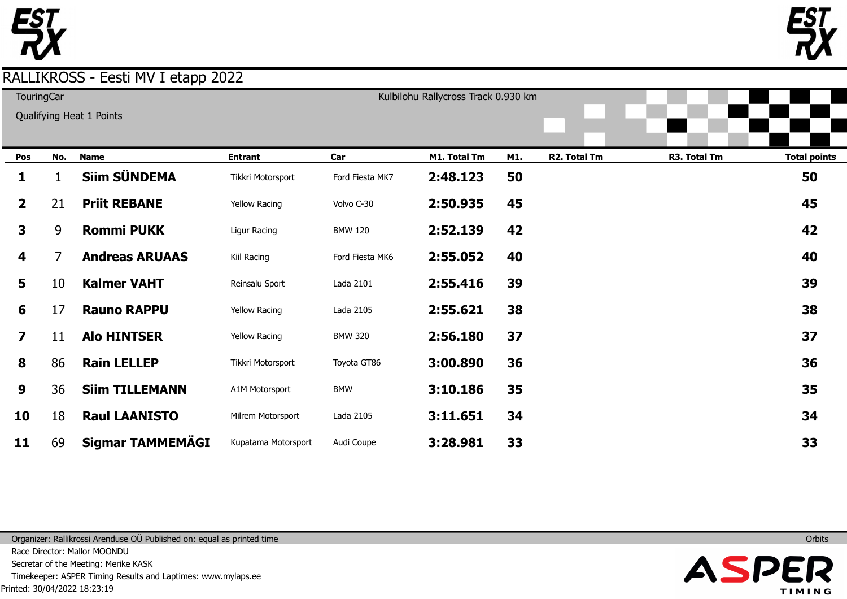

**TouringCar** 

Kulbilohu Rallycross Track 0.930 km

|              |     | Qualifying Heat 1 Points |                      |                 |              |     |              |              |                     |
|--------------|-----|--------------------------|----------------------|-----------------|--------------|-----|--------------|--------------|---------------------|
| Pos          | No. | <b>Name</b>              | <b>Entrant</b>       | Car             | M1. Total Tm | M1. | R2. Total Tm | R3. Total Tm | <b>Total points</b> |
| 1            |     | Siim SÜNDEMA             | Tikkri Motorsport    | Ford Fiesta MK7 | 2:48.123     | 50  |              |              | 50                  |
| $\mathbf{2}$ | 21  | <b>Priit REBANE</b>      | Yellow Racing        | Volvo C-30      | 2:50.935     | 45  |              |              | 45                  |
| $\mathbf{3}$ | 9   | <b>Rommi PUKK</b>        | Ligur Racing         | <b>BMW 120</b>  | 2:52.139     | 42  |              |              | 42                  |
| 4            | 7   | <b>Andreas ARUAAS</b>    | Kiil Racing          | Ford Fiesta MK6 | 2:55.052     | 40  |              |              | 40                  |
| 5            | 10  | <b>Kalmer VAHT</b>       | Reinsalu Sport       | Lada 2101       | 2:55.416     | 39  |              |              | 39                  |
| 6            | 17  | <b>Rauno RAPPU</b>       | <b>Yellow Racing</b> | Lada 2105       | 2:55.621     | 38  |              |              | 38                  |
| 7            | 11  | <b>Alo HINTSER</b>       | <b>Yellow Racing</b> | <b>BMW 320</b>  | 2:56.180     | 37  |              |              | 37                  |
| 8            | 86  | <b>Rain LELLEP</b>       | Tikkri Motorsport    | Toyota GT86     | 3:00.890     | 36  |              |              | 36                  |
| 9            | 36  | <b>Siim TILLEMANN</b>    | A1M Motorsport       | <b>BMW</b>      | 3:10.186     | 35  |              |              | 35                  |
| 10           | 18  | <b>Raul LAANISTO</b>     | Milrem Motorsport    | Lada 2105       | 3:11.651     | 34  |              |              | 34                  |
| 11           | 69  | <b>Sigmar TAMMEMÄGI</b>  | Kupatama Motorsport  | Audi Coupe      | 3:28.981     | 33  |              |              | 33                  |

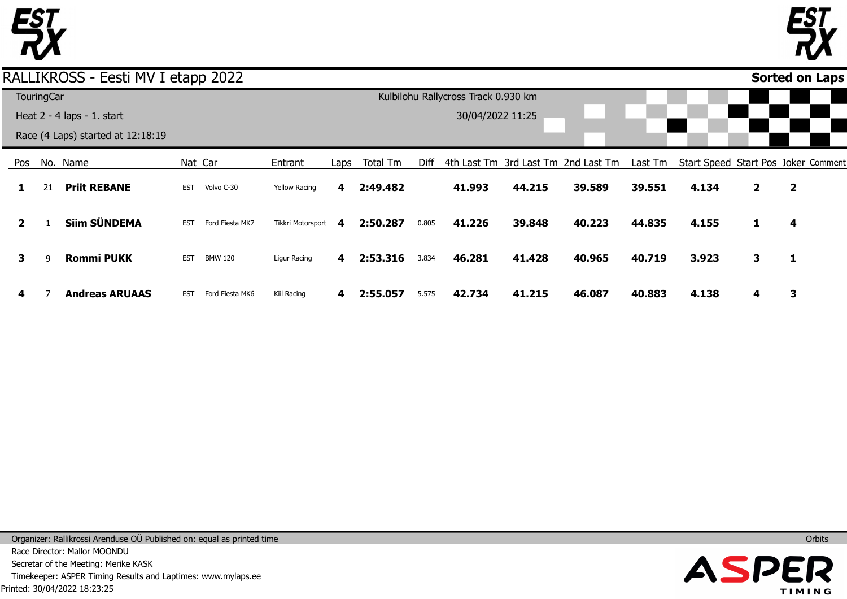



## RALLIKROSS - Eesti MV I etapp 2022

|              |                   |                                   | . .        |                 |                      |      |          |       |                                     |        |                                     |         |       |                |                                     |  |
|--------------|-------------------|-----------------------------------|------------|-----------------|----------------------|------|----------|-------|-------------------------------------|--------|-------------------------------------|---------|-------|----------------|-------------------------------------|--|
|              | <b>TouringCar</b> |                                   |            |                 |                      |      |          |       | Kulbilohu Rallycross Track 0.930 km |        |                                     |         |       |                |                                     |  |
|              |                   | Heat 2 - 4 laps - 1. start        |            |                 |                      |      |          |       | 30/04/2022 11:25                    |        |                                     |         |       |                |                                     |  |
|              |                   | Race (4 Laps) started at 12:18:19 |            |                 |                      |      |          |       |                                     |        |                                     |         |       |                |                                     |  |
| Pos          |                   | No. Name                          |            | Nat Car         | Entrant              | Laps | Total Tm | Diff  |                                     |        | 4th Last Tm 3rd Last Tm 2nd Last Tm | Last Tm |       |                | Start Speed Start Pos Joker Comment |  |
|              | 21                | <b>Priit REBANE</b>               | <b>EST</b> | Volvo C-30      | <b>Yellow Racing</b> | 4    | 2:49.482 |       | 41.993                              | 44.215 | 39.589                              | 39.551  | 4.134 | $\overline{2}$ | $\overline{\mathbf{2}}$             |  |
| $\mathbf{2}$ |                   | <b>Siim SÜNDEMA</b>               | <b>EST</b> | Ford Fiesta MK7 | Tikkri Motorsport    | 4    | 2:50.287 | 0.805 | 41.226                              | 39.848 | 40.223                              | 44.835  | 4.155 | 1              | 4                                   |  |
| 3            | q                 | <b>Rommi PUKK</b>                 | EST        | BMW 120         | Ligur Racing         | 4    | 2:53.316 | 3.834 | 46.281                              | 41.428 | 40.965                              | 40.719  | 3.923 | 3              | 1                                   |  |
| 4            |                   | <b>Andreas ARUAAS</b>             | <b>EST</b> | Ford Fiesta MK6 | Kiil Racing          | 4    | 2:55.057 | 5.575 | 42.734                              | 41.215 | 46.087                              | 40.883  | 4.138 | 4              | 3                                   |  |

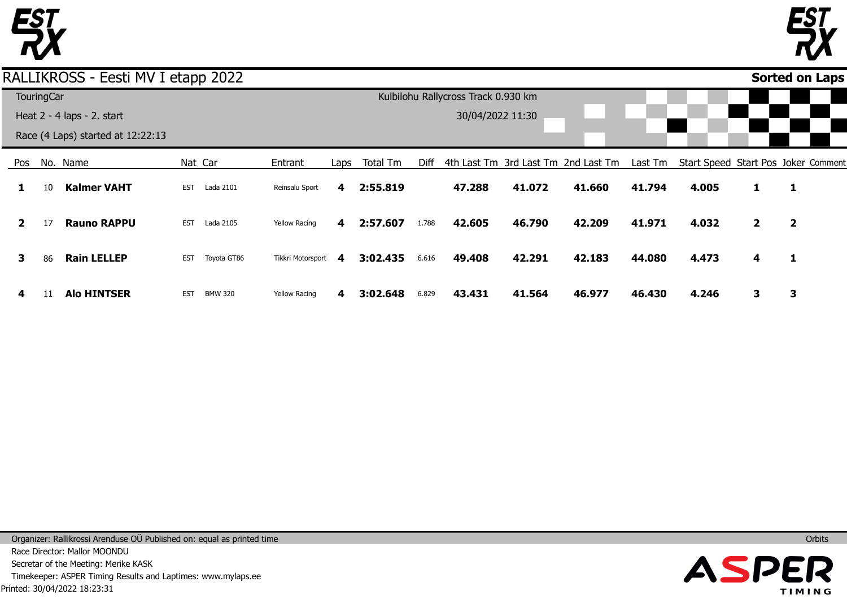

 $\overline{\phantom{a}}$ 



**Sorted on Laps**

## RALLIKROSS - Eesti MV I etapp 2022

|     |                   |                                   | .          |                |                      |      |          |       |                                     |        |                                     |         |       |              |                                     |  |
|-----|-------------------|-----------------------------------|------------|----------------|----------------------|------|----------|-------|-------------------------------------|--------|-------------------------------------|---------|-------|--------------|-------------------------------------|--|
|     | <b>TouringCar</b> |                                   |            |                |                      |      |          |       | Kulbilohu Rallycross Track 0.930 km |        |                                     |         |       |              |                                     |  |
|     |                   | Heat 2 - 4 laps - 2. start        |            |                |                      |      |          |       | 30/04/2022 11:30                    |        |                                     |         |       |              |                                     |  |
|     |                   | Race (4 Laps) started at 12:22:13 |            |                |                      |      |          |       |                                     |        |                                     |         |       |              |                                     |  |
| Pos |                   | No. Name                          |            | Nat Car        | Entrant              | Laps | Total Tm | Diff  |                                     |        | 4th Last Tm 3rd Last Tm 2nd Last Tm | Last Tm |       |              | Start Speed Start Pos Joker Comment |  |
|     | 10                | <b>Kalmer VAHT</b>                | <b>EST</b> | Lada 2101      | Reinsalu Sport       | 4    | 2:55.819 |       | 47.288                              | 41.072 | 41.660                              | 41.794  | 4.005 | 1            | 1                                   |  |
|     | 17                | <b>Rauno RAPPU</b>                | <b>EST</b> | Lada 2105      | <b>Yellow Racing</b> | 4    | 2:57.607 | 1.788 | 42.605                              | 46.790 | 42.209                              | 41.971  | 4.032 | $\mathbf{2}$ | $\overline{2}$                      |  |
| З.  | 86                | <b>Rain LELLEP</b>                | <b>EST</b> | Toyota GT86    | Tikkri Motorsport    | -4   | 3:02.435 | 6.616 | 49.408                              | 42.291 | 42.183                              | 44.080  | 4.473 | 4            | 1                                   |  |
| 4   | 11                | <b>Alo HINTSER</b>                | <b>EST</b> | <b>BMW 320</b> | <b>Yellow Racing</b> | 4    | 3:02.648 | 6.829 | 43.431                              | 41.564 | 46.977                              | 46.430  | 4.246 | 3            | З                                   |  |

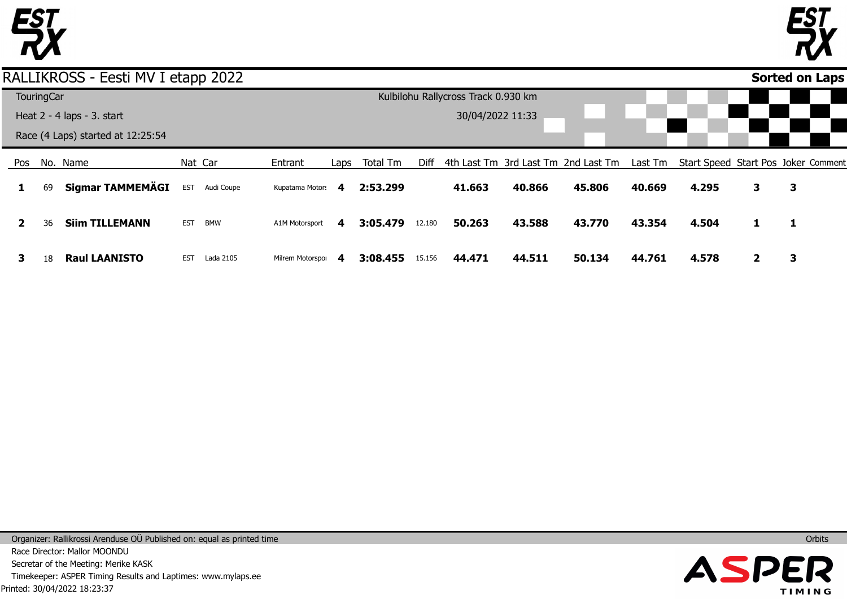



## RALLIKROSS - Eesti MV I etapp 2022

|                                   |              | TouringCar |                                 |            |            |                   |      |          |        | Kulbilohu Rallycross Track 0.930 km |        |        |        |       |   |                                                                                 |
|-----------------------------------|--------------|------------|---------------------------------|------------|------------|-------------------|------|----------|--------|-------------------------------------|--------|--------|--------|-------|---|---------------------------------------------------------------------------------|
|                                   |              |            | Heat $2 - 4$ laps $- 3$ . start |            |            |                   |      |          |        | 30/04/2022 11:33                    |        |        |        |       |   |                                                                                 |
| Race (4 Laps) started at 12:25:54 |              |            |                                 |            |            |                   |      |          |        |                                     |        |        |        |       |   |                                                                                 |
|                                   | Pos          |            | No. Name                        |            | Nat Car    | Entrant           | Laps | Total Tm | Diff   |                                     |        |        |        |       |   | 4th Last Tm 3rd Last Tm 2nd Last Tm Last Tm Start Speed Start Pos Joker Comment |
|                                   |              | 69         | Sigmar TAMMEMÄGI                | <b>EST</b> | Audi Coupe | Kupatama Motors 4 |      | 2:53.299 |        | 41.663                              | 40.866 | 45.806 | 40.669 | 4.295 | 3 | 3                                                                               |
|                                   | $\mathbf{2}$ | 36         | <b>Siim TILLEMANN</b>           | <b>EST</b> | BMW        | A1M Motorsport    | 4    | 3:05.479 | 12.180 | 50.263                              | 43.588 | 43.770 | 43.354 | 4.504 |   | -1                                                                              |
|                                   | з            | 18         | <b>Raul LAANISTO</b>            | <b>EST</b> | Lada 2105  | Milrem Motorspor  | 4    | 3:08.455 | 15.156 | 44.471                              | 44.511 | 50.134 | 44.761 | 4.578 |   |                                                                                 |

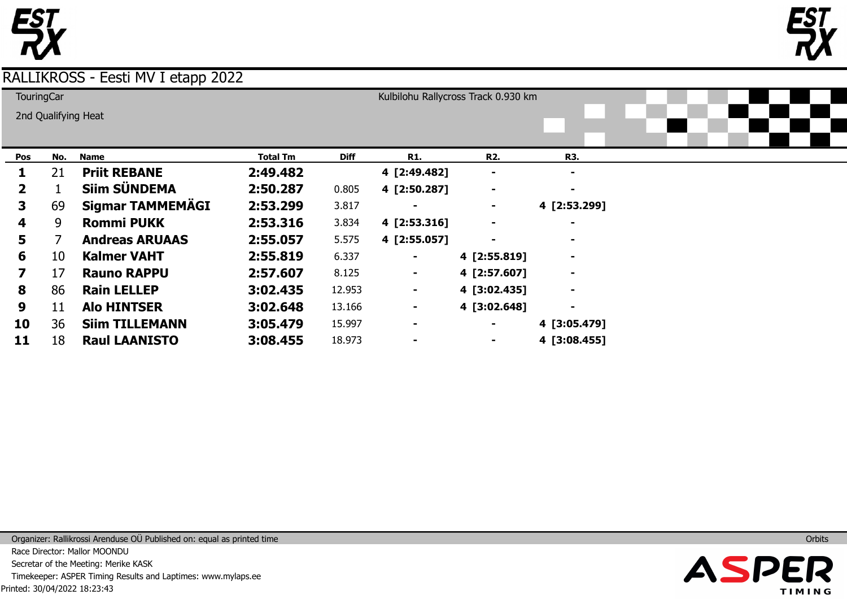



| <b>TouringCar</b>       |     |                       |          |             |                | Kulbilohu Rallycross Track 0.930 km |                |  |  |
|-------------------------|-----|-----------------------|----------|-------------|----------------|-------------------------------------|----------------|--|--|
|                         |     | 2nd Qualifying Heat   |          |             |                |                                     |                |  |  |
|                         |     |                       |          |             |                |                                     |                |  |  |
| Pos                     | No. | <b>Name</b>           | Total Tm | <b>Diff</b> | <b>R1.</b>     | R <sub>2</sub> .                    | <b>R3.</b>     |  |  |
|                         | 21  | <b>Priit REBANE</b>   | 2:49.482 |             | 4 [2:49.482]   |                                     | $\blacksquare$ |  |  |
| $\mathbf{2}$            |     | <b>Siim SÜNDEMA</b>   | 2:50.287 | 0.805       | 4 [2:50.287]   | $\blacksquare$                      | $\blacksquare$ |  |  |
| 3                       | 69  | Sigmar TAMMEMÄGI      | 2:53.299 | 3.817       |                |                                     | 4 [2:53.299]   |  |  |
| 4                       | 9   | <b>Rommi PUKK</b>     | 2:53.316 | 3.834       | 4 [2:53.316]   |                                     | $\blacksquare$ |  |  |
| 5.                      |     | <b>Andreas ARUAAS</b> | 2:55.057 | 5.575       | 4 [2:55.057]   |                                     | $\blacksquare$ |  |  |
| 6                       | 10  | <b>Kalmer VAHT</b>    | 2:55.819 | 6.337       |                | 4 [2:55.819]                        | $\blacksquare$ |  |  |
| $\overline{\mathbf{z}}$ | 17  | <b>Rauno RAPPU</b>    | 2:57.607 | 8.125       | ۰              | 4 [2:57.607]                        | $\blacksquare$ |  |  |
| 8                       | 86  | <b>Rain LELLEP</b>    | 3:02.435 | 12.953      | ۰              | 4 [3:02.435]                        | $\blacksquare$ |  |  |
| 9                       | 11  | <b>Alo HINTSER</b>    | 3:02.648 | 13.166      | ۰              | 4 [3:02.648]                        | $\blacksquare$ |  |  |
| 10                      | 36  | <b>Siim TILLEMANN</b> | 3:05.479 | 15.997      | $\blacksquare$ |                                     | 4 [3:05.479]   |  |  |
| 11                      | 18  | <b>Raul LAANISTO</b>  | 3:08.455 | 18.973      |                |                                     | 4 [3:08.455]   |  |  |



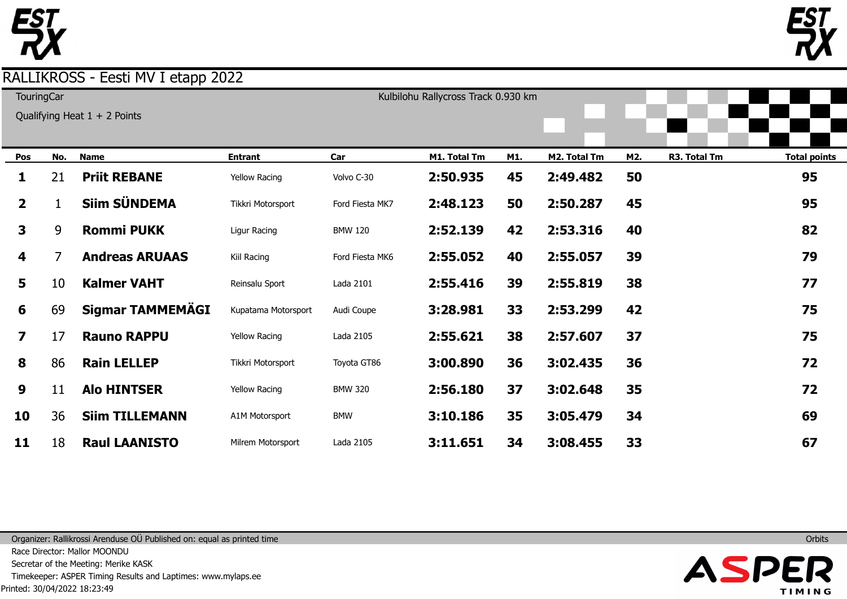

| <b>TouringCar</b> |  |  |
|-------------------|--|--|
|                   |  |  |
|                   |  |  |

|  | Λ. |  |
|--|----|--|
|  |    |  |
|  |    |  |

| <b>TouringCar</b>       |     |                                |                      |                 | Kulbilohu Rallycross Track 0.930 km |     |              |     |              |                     |  |  |  |  |
|-------------------------|-----|--------------------------------|----------------------|-----------------|-------------------------------------|-----|--------------|-----|--------------|---------------------|--|--|--|--|
|                         |     | Qualifying Heat $1 + 2$ Points |                      |                 |                                     |     |              |     |              |                     |  |  |  |  |
|                         |     |                                |                      |                 |                                     |     |              |     |              |                     |  |  |  |  |
| Pos                     | No. | <b>Name</b>                    | <b>Entrant</b>       | Car             | M1. Total Tm                        | M1. | M2. Total Tm | M2. | R3. Total Tm | <b>Total points</b> |  |  |  |  |
| 1                       | 21  | <b>Priit REBANE</b>            | <b>Yellow Racing</b> | Volvo C-30      | 2:50.935                            | 45  | 2:49.482     | 50  |              | 95                  |  |  |  |  |
| $\overline{2}$          |     | <b>Siim SÜNDEMA</b>            | Tikkri Motorsport    | Ford Fiesta MK7 | 2:48.123                            | 50  | 2:50.287     | 45  |              | 95                  |  |  |  |  |
| 3                       | 9   | <b>Rommi PUKK</b>              | Ligur Racing         | <b>BMW 120</b>  | 2:52.139                            | 42  | 2:53.316     | 40  |              | 82                  |  |  |  |  |
| 4                       |     | <b>Andreas ARUAAS</b>          | Kiil Racing          | Ford Fiesta MK6 | 2:55.052                            | 40  | 2:55.057     | 39  |              | 79                  |  |  |  |  |
| 5                       | 10  | <b>Kalmer VAHT</b>             | Reinsalu Sport       | Lada 2101       | 2:55.416                            | 39  | 2:55.819     | 38  |              | 77                  |  |  |  |  |
| 6                       | 69  | <b>Sigmar TAMMEMÄGI</b>        | Kupatama Motorsport  | Audi Coupe      | 3:28.981                            | 33  | 2:53.299     | 42  |              | 75                  |  |  |  |  |
| $\overline{\mathbf{z}}$ | 17  | <b>Rauno RAPPU</b>             | <b>Yellow Racing</b> | Lada 2105       | 2:55.621                            | 38  | 2:57.607     | 37  |              | 75                  |  |  |  |  |
| 8                       | 86  | <b>Rain LELLEP</b>             | Tikkri Motorsport    | Toyota GT86     | 3:00.890                            | 36  | 3:02.435     | 36  |              | 72                  |  |  |  |  |
| 9                       | 11  | <b>Alo HINTSER</b>             | <b>Yellow Racing</b> | <b>BMW 320</b>  | 2:56.180                            | 37  | 3:02.648     | 35  |              | 72                  |  |  |  |  |
| 10                      | 36  | <b>Siim TILLEMANN</b>          | A1M Motorsport       | <b>BMW</b>      | 3:10.186                            | 35  | 3:05.479     | 34  |              | 69                  |  |  |  |  |
| 11                      | 18  | <b>Raul LAANISTO</b>           | Milrem Motorsport    | Lada 2105       | 3:11.651                            | 34  | 3:08.455     | 33  |              | 67                  |  |  |  |  |

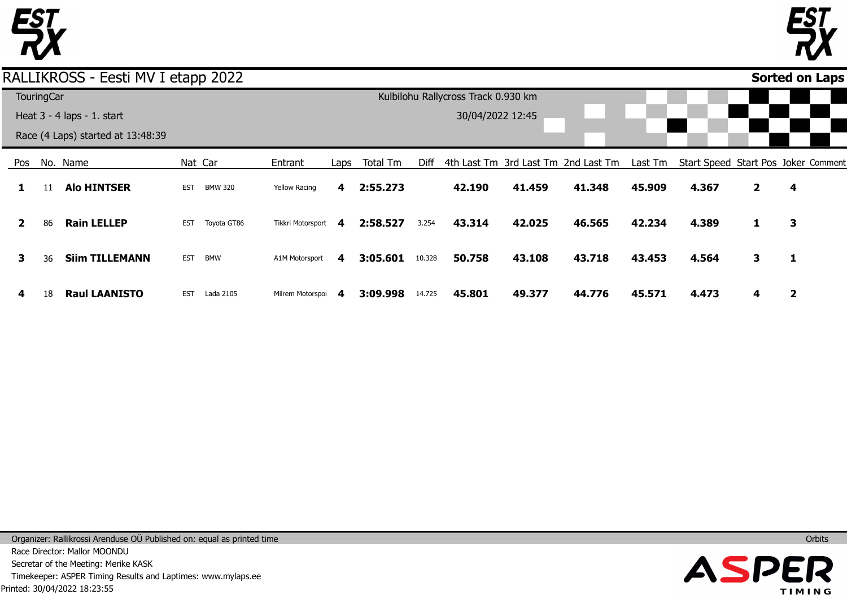



### RALLIKROSS - Eesti MV I etapp 2022

|              |                   |                                   |            |                |                      |      |                                     |        |                  |        |                                     |         |                                     |              |   | . . |
|--------------|-------------------|-----------------------------------|------------|----------------|----------------------|------|-------------------------------------|--------|------------------|--------|-------------------------------------|---------|-------------------------------------|--------------|---|-----|
|              | <b>TouringCar</b> |                                   |            |                |                      |      | Kulbilohu Rallycross Track 0.930 km |        |                  |        |                                     |         |                                     |              |   |     |
|              |                   | Heat $3 - 4$ laps $- 1$ . start   |            |                |                      |      |                                     |        | 30/04/2022 12:45 |        |                                     |         |                                     |              |   |     |
|              |                   | Race (4 Laps) started at 13:48:39 |            |                |                      |      |                                     |        |                  |        |                                     |         |                                     |              |   |     |
| Pos          |                   | No. Name                          |            | Nat Car        | Entrant              | Laps | Total Tm                            | Diff   |                  |        | 4th Last Tm 3rd Last Tm 2nd Last Tm | Last Tm | Start Speed Start Pos Joker Comment |              |   |     |
|              | 11                | <b>Alo HINTSER</b>                | <b>EST</b> | <b>BMW 320</b> | <b>Yellow Racing</b> | 4    | 2:55.273                            |        | 42.190           | 41.459 | 41.348                              | 45.909  | 4.367                               | $\mathbf{2}$ | 4 |     |
| $\mathbf{2}$ | 86                | <b>Rain LELLEP</b>                | <b>EST</b> | Toyota GT86    | Tikkri Motorsport    | 4    | 2:58.527                            | 3.254  | 43.314           | 42.025 | 46.565                              | 42.234  | 4.389                               | 1            | 3 |     |
| 3            | 36                | <b>Siim TILLEMANN</b>             | <b>EST</b> | <b>BMW</b>     | A1M Motorsport       | 4    | 3:05.601                            | 10.328 | 50.758           | 43.108 | 43.718                              | 43.453  | 4.564                               | 3            | 1 |     |
| 4            | 18                | <b>Raul LAANISTO</b>              | <b>EST</b> | Lada 2105      | Milrem Motorspor     | 4    | 3:09.998                            | 14.725 | 45.801           | 49.377 | 44.776                              | 45.571  | 4.473                               | 4            | 2 |     |

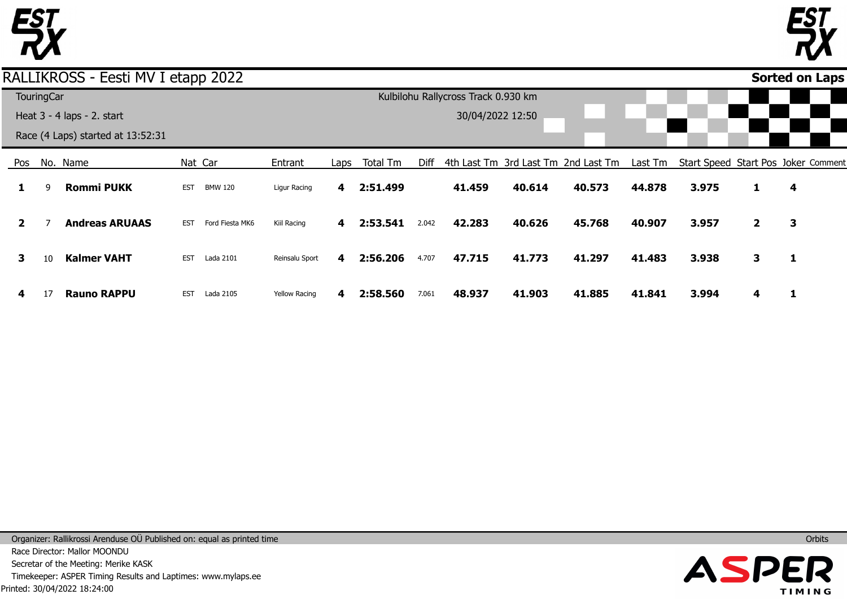



### RALLIKROSS - Eesti MV I etapp 2022

|              |                   |                                   |            |                 |                      |      |          |                  |                                     |        |                                     |         |                                     |                |   | . . |
|--------------|-------------------|-----------------------------------|------------|-----------------|----------------------|------|----------|------------------|-------------------------------------|--------|-------------------------------------|---------|-------------------------------------|----------------|---|-----|
|              | <b>TouringCar</b> |                                   |            |                 |                      |      |          |                  | Kulbilohu Rallycross Track 0.930 km |        |                                     |         |                                     |                |   |     |
|              |                   | Heat 3 - 4 laps - 2. start        |            |                 |                      |      |          | 30/04/2022 12:50 |                                     |        |                                     |         |                                     |                |   |     |
|              |                   | Race (4 Laps) started at 13:52:31 |            |                 |                      |      |          |                  |                                     |        |                                     |         |                                     |                |   |     |
| Pos          |                   | No. Name                          |            | Nat Car         | Entrant              | Laps | Total Tm | Diff             |                                     |        | 4th Last Tm 3rd Last Tm 2nd Last Tm | Last Tm | Start Speed Start Pos Joker Comment |                |   |     |
| 1            | 9                 | <b>Rommi PUKK</b>                 | <b>EST</b> | <b>BMW 120</b>  | Ligur Racing         | 4    | 2:51.499 |                  | 41.459                              | 40.614 | 40.573                              | 44.878  | 3.975                               | 1              | 4 |     |
| $\mathbf{2}$ |                   | <b>Andreas ARUAAS</b>             | <b>EST</b> | Ford Fiesta MK6 | Kiil Racing          | 4    | 2:53.541 | 2.042            | 42.283                              | 40.626 | 45.768                              | 40.907  | 3.957                               | $\overline{2}$ | 3 |     |
| 3            | 10                | <b>Kalmer VAHT</b>                | EST        | Lada 2101       | Reinsalu Sport       | 4    | 2:56.206 | 4.707            | 47.715                              | 41.773 | 41.297                              | 41.483  | 3.938                               | 3              | 1 |     |
| 4            | 17                | <b>Rauno RAPPU</b>                | <b>EST</b> | Lada 2105       | <b>Yellow Racing</b> | 4    | 2:58.560 | 7.061            | 48.937                              | 41.903 | 41.885                              | 41.841  | 3.994                               | 4              |   |     |

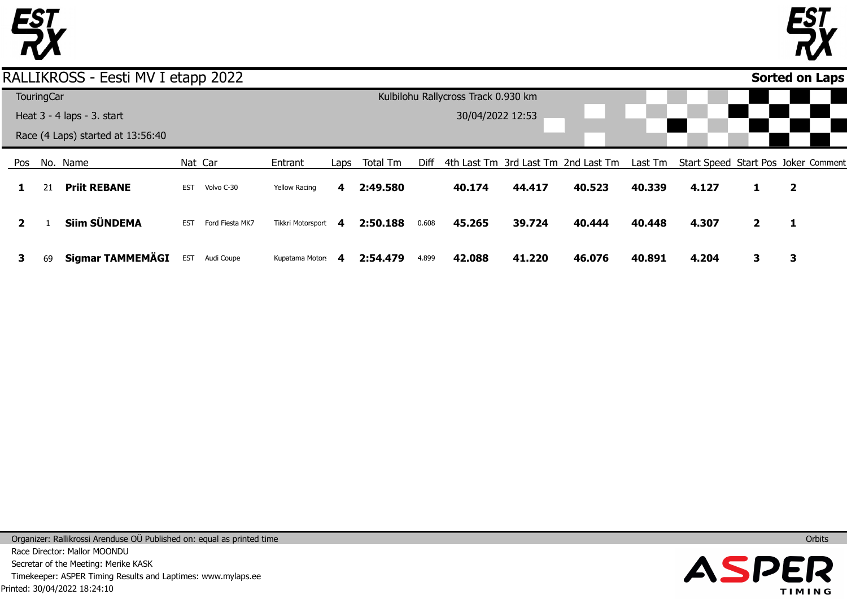



## RALLIKROSS - Eesti MV I etapp 2022

|              | <b>TouringCar</b> |                                   |            |                 |                      |   |               |       | Kulbilohu Rallycross Track 0.930 km |        |                                                                                 |        |       |              |                         |  |
|--------------|-------------------|-----------------------------------|------------|-----------------|----------------------|---|---------------|-------|-------------------------------------|--------|---------------------------------------------------------------------------------|--------|-------|--------------|-------------------------|--|
|              |                   | Heat 3 - 4 laps - 3. start        |            |                 |                      |   |               |       | 30/04/2022 12:53                    |        |                                                                                 |        |       |              |                         |  |
|              |                   | Race (4 Laps) started at 13:56:40 |            |                 |                      |   |               |       |                                     |        |                                                                                 |        |       |              |                         |  |
|              |                   | Pos No. Name                      |            | Nat Car         | Entrant              |   | Laps Total Tm | Diff  |                                     |        | 4th Last Tm 3rd Last Tm 2nd Last Tm Last Tm Start Speed Start Pos Joker Comment |        |       |              |                         |  |
|              | 21                | <b>Priit REBANE</b>               | <b>EST</b> | Volvo C-30      | <b>Yellow Racing</b> | 4 | 2:49.580      |       | 40.174                              | 44.417 | 40.523                                                                          | 40.339 | 4.127 |              | $\overline{\mathbf{2}}$ |  |
| $\mathbf{2}$ |                   | Siim SÜNDEMA                      | <b>EST</b> | Ford Fiesta MK7 | Tikkri Motorsport 4  |   | 2:50.188      | 0.608 | 45.265                              | 39.724 | 40.444                                                                          | 40.448 | 4.307 | $\mathbf{2}$ | $\mathbf{1}$            |  |
| 3            | 69                | Sigmar TAMMEMÄGI                  | <b>EST</b> | Audi Coupe      | Kupatama Motors 4    |   | 2:54.479      | 4.899 | 42.088                              | 41.220 | 46.076                                                                          | 40.891 | 4.204 | 3            | 3                       |  |

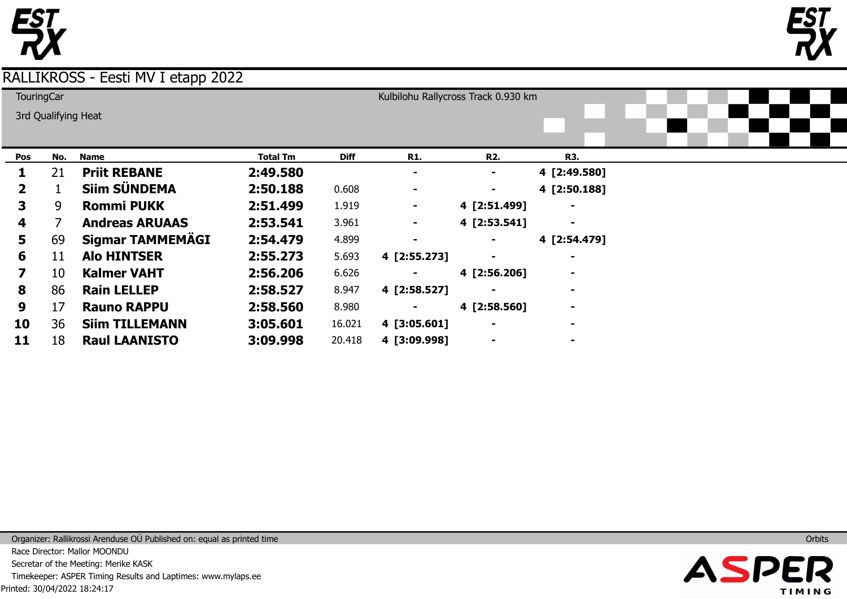



#### **Pos 1 2 3 4 5 6 7 8 9 10 No.** 21 1 9 7 69 11 10 86 17 36 **Name Priit REBANE Siim SÜNDEMA Rommi PUKK Andreas ARUAAS Sigmar TAMMEMÄGI Alo HINTSER Kalmer VAHT Rain LELLEP Rauno RAPPU Siim TILLEMANN Total Tm 2:49.580 2:50.188 2:51.499 2:53.541 2:54.479 2:55.273 2:56.206 2:58.527 2:58.560 3:05.601 Diff** 0.608 1.919 3.961 4.899 5.693 6.626 8.947 8.980 16.021 **R1. - - - - - 4 [2:55.273] - 4 [2:58.527] - 4 [3:05.601] R2. - - 4 [2:51.499] 4 [2:53.541] - - 4 [2:56.206] - 4 [2:58.560] - R3. 4 [2:49.580] 4 [2:50.188] - - 4 [2:54.479] - - - - - TouringCar** 3rd Qualifying Heat Kulbilohu Rallycross Track 0.930 km

**4 [3:09.998]** 

**-** 

**-** 

**3:09.998** 

20.418

**11** 18 **Raul LAANISTO** 

RALLIKROSS - Eesti MV I etapp 2022

Printed: 30/04/2022 18:24:17 Organizer: Rallikrossi Arenduse OÜ Published on: equal as printed time Race Director: Mallor MOONDU Secretar of the Meeting: Merike KASK Timekeeper: ASPER Timing Results and Laptimes: www.mylaps.ee

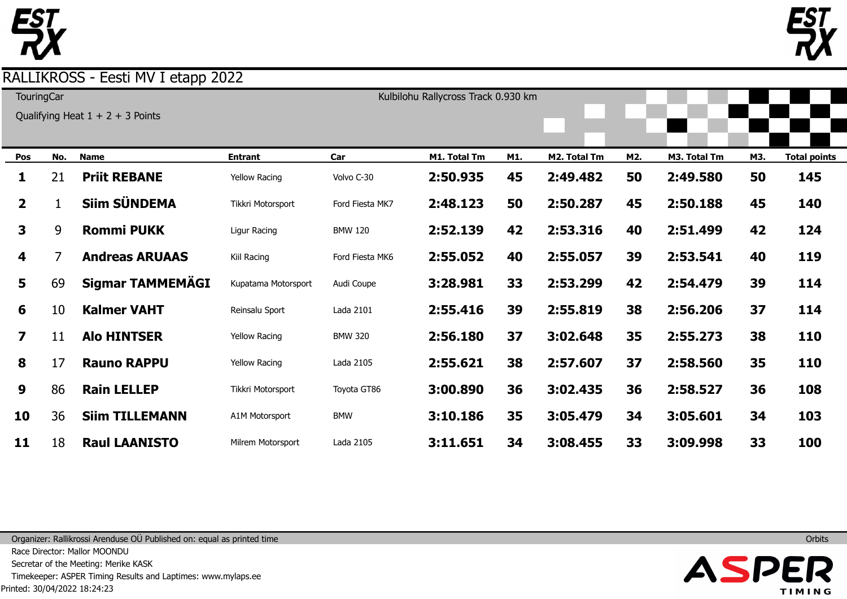

| TouringCar |  |  |
|------------|--|--|
|            |  |  |

Qualifying Heat  $1 + 2 + 3$  Points

|                         |     | $\frac{1}{2}$ and $\frac{1}{2}$ is not $\frac{1}{2}$ if $\frac{1}{2}$ if $\frac{1}{2}$ if $\frac{1}{2}$ if $\frac{1}{2}$ if $\frac{1}{2}$ |                      |                 |              |     |              |     |              |     |                     |
|-------------------------|-----|-------------------------------------------------------------------------------------------------------------------------------------------|----------------------|-----------------|--------------|-----|--------------|-----|--------------|-----|---------------------|
| Pos                     | No. | <b>Name</b>                                                                                                                               | <b>Entrant</b>       | Car             | M1. Total Tm | M1. | M2. Total Tm | M2. | M3. Total Tm | M3. | <b>Total points</b> |
| 1                       | 21  | <b>Priit REBANE</b>                                                                                                                       | <b>Yellow Racing</b> | Volvo C-30      | 2:50.935     | 45  | 2:49.482     | 50  | 2:49.580     | 50  | 145                 |
| 2 <sup>1</sup>          |     | <b>Siim SÜNDEMA</b>                                                                                                                       | Tikkri Motorsport    | Ford Fiesta MK7 | 2:48.123     | 50  | 2:50.287     | 45  | 2:50.188     | 45  | 140                 |
| $\mathbf{3}$            | 9   | <b>Rommi PUKK</b>                                                                                                                         | Ligur Racing         | <b>BMW 120</b>  | 2:52.139     | 42  | 2:53.316     | 40  | 2:51.499     | 42  | 124                 |
| 4                       | 7   | <b>Andreas ARUAAS</b>                                                                                                                     | Kiil Racing          | Ford Fiesta MK6 | 2:55.052     | 40  | 2:55.057     | 39  | 2:53.541     | 40  | 119                 |
| 5                       | 69  | Sigmar TAMMEMÄGI                                                                                                                          | Kupatama Motorsport  | Audi Coupe      | 3:28.981     | 33  | 2:53.299     | 42  | 2:54.479     | 39  | 114                 |
| 6                       | 10  | <b>Kalmer VAHT</b>                                                                                                                        | Reinsalu Sport       | Lada 2101       | 2:55.416     | 39  | 2:55.819     | 38  | 2:56.206     | 37  | 114                 |
| $\overline{\mathbf{z}}$ | 11  | <b>Alo HINTSER</b>                                                                                                                        | <b>Yellow Racing</b> | <b>BMW 320</b>  | 2:56.180     | 37  | 3:02.648     | 35  | 2:55.273     | 38  | <b>110</b>          |
| 8                       | 17  | <b>Rauno RAPPU</b>                                                                                                                        | <b>Yellow Racing</b> | Lada 2105       | 2:55.621     | 38  | 2:57.607     | 37  | 2:58.560     | 35  | <b>110</b>          |
| 9                       | 86  | <b>Rain LELLEP</b>                                                                                                                        | Tikkri Motorsport    | Toyota GT86     | 3:00.890     | 36  | 3:02.435     | 36  | 2:58.527     | 36  | 108                 |
| 10                      | 36  | <b>Siim TILLEMANN</b>                                                                                                                     | A1M Motorsport       | <b>BMW</b>      | 3:10.186     | 35  | 3:05.479     | 34  | 3:05.601     | 34  | 103                 |
| 11                      | 18  | <b>Raul LAANISTO</b>                                                                                                                      | Milrem Motorsport    | Lada 2105       | 3:11.651     | 34  | 3:08.455     | 33  | 3:09.998     | 33  | 100                 |

Kulbilohu Rallycross Track 0.930 km

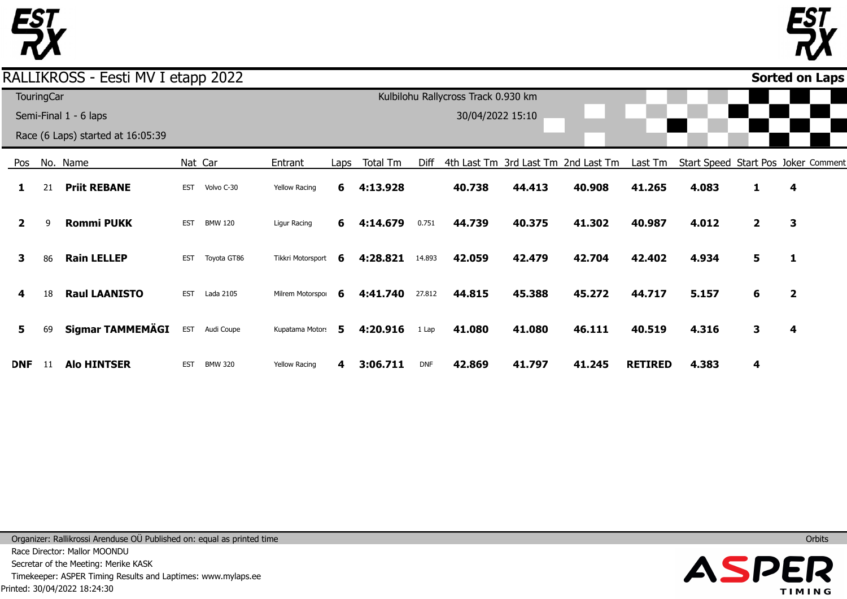



|              |                   | RALLIKROSS - Eesti MV I etapp 2022 |            |                |                      |      |          |            |                                     |        |                                     |                |                                     |                | Sorted on Laps          |  |
|--------------|-------------------|------------------------------------|------------|----------------|----------------------|------|----------|------------|-------------------------------------|--------|-------------------------------------|----------------|-------------------------------------|----------------|-------------------------|--|
|              | <b>TouringCar</b> |                                    |            |                |                      |      |          |            | Kulbilohu Rallycross Track 0.930 km |        |                                     |                |                                     |                |                         |  |
|              |                   | Semi-Final 1 - 6 laps              |            |                |                      |      |          |            | 30/04/2022 15:10                    |        |                                     |                |                                     |                |                         |  |
|              |                   | Race (6 Laps) started at 16:05:39  |            |                |                      |      |          |            |                                     |        |                                     |                |                                     |                |                         |  |
| Pos          |                   | No. Name                           |            | Nat Car        | Entrant              | Laps | Total Tm | Diff       |                                     |        | 4th Last Tm 3rd Last Tm 2nd Last Tm | Last Tm        | Start Speed Start Pos Joker Comment |                |                         |  |
| 1            | 21                | <b>Priit REBANE</b>                | <b>EST</b> | Volvo C-30     | <b>Yellow Racing</b> | 6    | 4:13.928 |            | 40.738                              | 44.413 | 40.908                              | 41.265         | 4.083                               | 1              | 4                       |  |
| $\mathbf{2}$ | q                 | <b>Rommi PUKK</b>                  | <b>EST</b> | <b>BMW 120</b> | Ligur Racing         | 6.   | 4:14.679 | 0.751      | 44.739                              | 40.375 | 41.302                              | 40.987         | 4.012                               | $\overline{2}$ | 3                       |  |
| 3            | 86                | <b>Rain LELLEP</b>                 | <b>EST</b> | Toyota GT86    | Tikkri Motorsport    | 6    | 4:28.821 | 14.893     | 42.059                              | 42.479 | 42.704                              | 42.402         | 4.934                               | 5              | 1                       |  |
| 4            | 18                | <b>Raul LAANISTO</b>               | <b>EST</b> | Lada 2105      | Milrem Motorspor     | 6    | 4:41.740 | 27.812     | 44.815                              | 45.388 | 45.272                              | 44.717         | 5.157                               | 6              | $\overline{\mathbf{2}}$ |  |
| 5            | 69                | Sigmar TAMMEMÄGI                   | <b>EST</b> | Audi Coupe     | Kupatama Motors      | 5.   | 4:20.916 | 1 Lap      | 41.080                              | 41.080 | 46.111                              | 40.519         | 4.316                               | $\mathbf{3}$   | 4                       |  |
| <b>DNF</b>   | 11                | <b>Alo HINTSER</b>                 | <b>EST</b> | <b>BMW 320</b> | <b>Yellow Racing</b> | 4    | 3:06.711 | <b>DNF</b> | 42.869                              | 41.797 | 41.245                              | <b>RETIRED</b> | 4.383                               | 4              |                         |  |

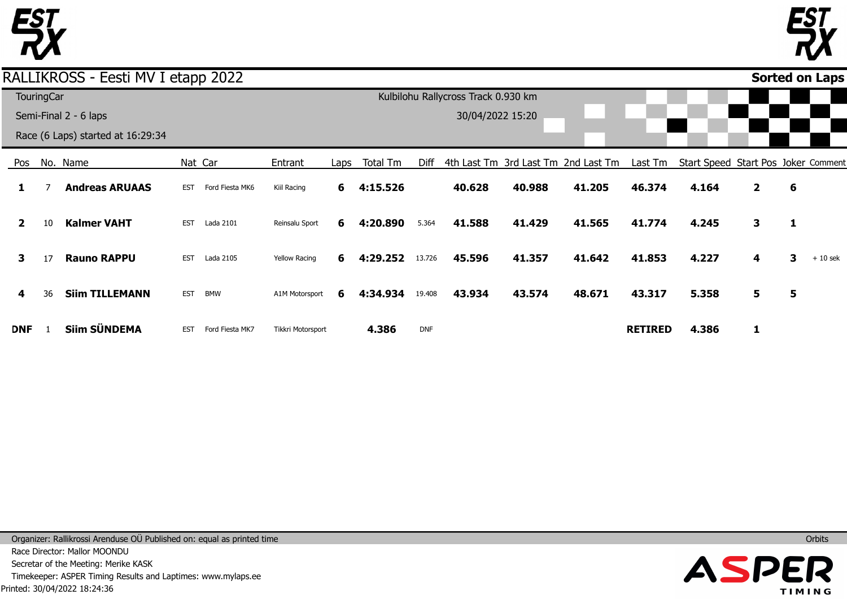



#### Pos **1 2 3 4 DNF** No. Name 7 10 17 36 1 **Andreas ARUAAS Kalmer VAHT Rauno RAPPU Siim TILLEMANN Siim SÜNDEMA** Nat Car EST Ford Fiesta MK6 EST Lada 2101 EST Lada 2105 EST BMW Entrant Kiil Racing Reinsalu Sport Yellow Racing A1M Motorsport Tikkri Motorsport Laps **6 6 6 6** Total Tm **4:15.526 4:20.890 4:29.252** 13.726 **4:34.934 4.386** Diff 4th Last Tm 3rd Last Tm 2nd Last Tm 5.364 19.408 DNF **40.628 41.588 45.596 43.934 40.988 41.429 41.357 43.574 41.205 41.565 41.642 48.671** Last Tm Start Speed Start Pos Joker Comment **46.374 41.774 41.853 43.317 RETIRED 4.164 4.245 4.227 5.358 4.386 2 3 4 5 1 6 1 3 5** + 10 sek **Sorted on Laps**RALLIKROSS - Eesti MV I etapp 2022 **TouringCar** Semi-Final 2 - 6 laps Race (6 Laps) started at 16:29:34 Kulbilohu Rallycross Track 0.930 km 30/04/2022 15:20

EST Ford Fiesta MK7